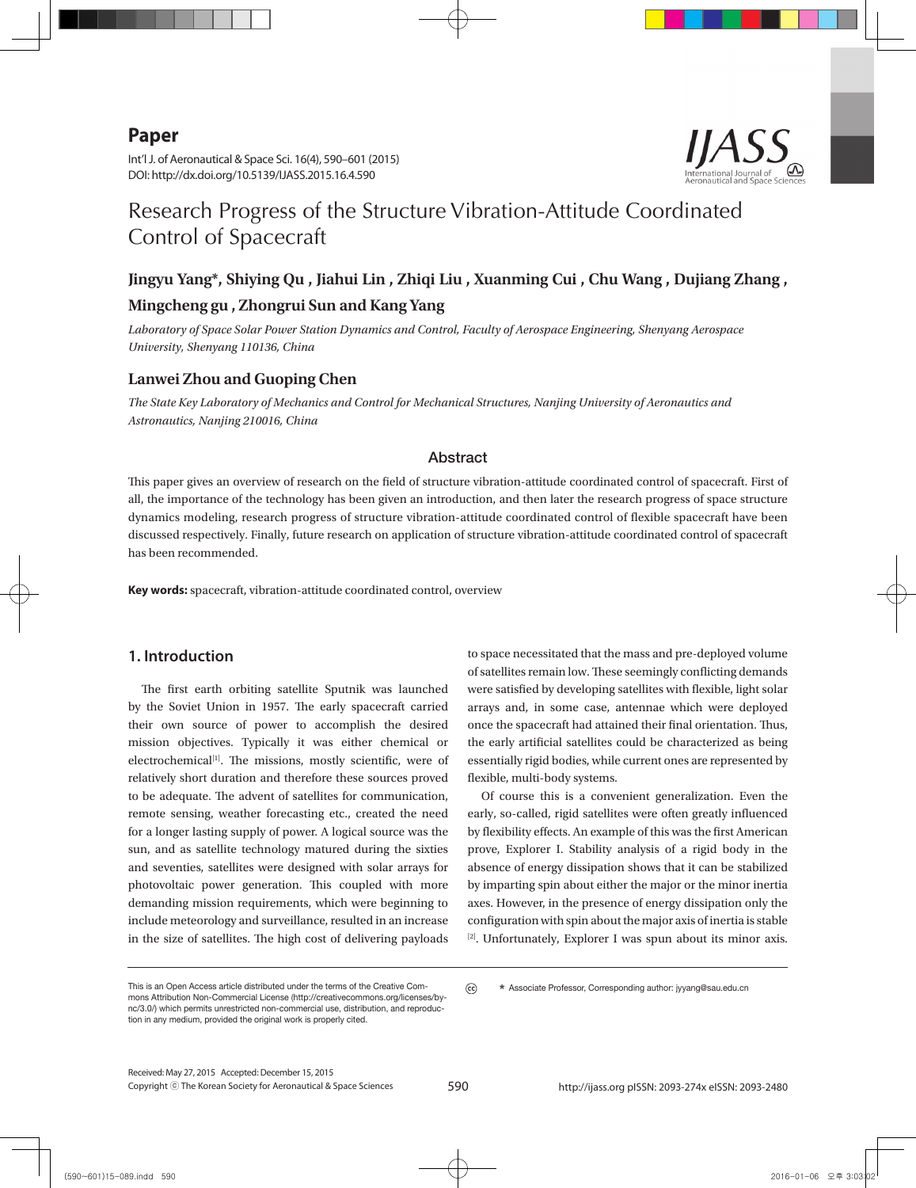## **Paper**

Int'l J. of Aeronautical & Space Sci. 16(4), 590–601 (2015) DOI: http://dx.doi.org/10.5139/IJASS.2015.16.4.590



# Research Progress of the Structure Vibration-Attitude Coordinated Control of Spacecraft

## **Jingyu Yang\*, Shiying Qu , Jiahui Lin , Zhiqi Liu , Xuanming Cui , Chu Wang , Dujiang Zhang , Mingcheng gu , Zhongrui Sun and Kang Yang**

*Laboratory of Space Solar Power Station Dynamics and Control, Faculty of Aerospace Engineering, Shenyang Aerospace University, Shenyang 110136, China*

#### **Lanwei Zhou and Guoping Chen**

*The State Key Laboratory of Mechanics and Control for Mechanical Structures, Nanjing University of Aeronautics and Astronautics, Nanjing 210016, China*

#### Abstract

This paper gives an overview of research on the field of structure vibration-attitude coordinated control of spacecraft. First of all, the importance of the technology has been given an introduction, and then later the research progress of space structure dynamics modeling, research progress of structure vibration-attitude coordinated control of flexible spacecraft have been discussed respectively. Finally, future research on application of structure vibration-attitude coordinated control of spacecraft has been recommended.

**Key words:** spacecraft, vibration-attitude coordinated control, overview

#### **1. Introduction**

The first earth orbiting satellite Sputnik was launched by the Soviet Union in 1957. The early spacecraft carried their own source of power to accomplish the desired mission objectives. Typically it was either chemical or electrochemical<sup>[1]</sup>. The missions, mostly scientific, were of relatively short duration and therefore these sources proved to be adequate. The advent of satellites for communication, remote sensing, weather forecasting etc., created the need for a longer lasting supply of power. A logical source was the sun, and as satellite technology matured during the sixties and seventies, satellites were designed with solar arrays for photovoltaic power generation. This coupled with more demanding mission requirements, which were beginning to include meteorology and surveillance, resulted in an increase in the size of satellites. The high cost of delivering payloads

to space necessitated that the mass and pre-deployed volume of satellites remain low. These seemingly conflicting demands were satisfied by developing satellites with flexible, light solar arrays and, in some case, antennae which were deployed once the spacecraft had attained their final orientation. Thus, the early artificial satellites could be characterized as being essentially rigid bodies, while current ones are represented by flexible, multi-body systems.

Of course this is a convenient generalization. Even the early, so-called, rigid satellites were often greatly influenced by flexibility effects. An example of this was the first American prove, Explorer I. Stability analysis of a rigid body in the absence of energy dissipation shows that it can be stabilized by imparting spin about either the major or the minor inertia axes. However, in the presence of energy dissipation only the configuration with spin about the major axis of inertia is stable [2]. Unfortunately, Explorer I was spun about its minor axis.

This is an Open Access article distributed under the terms of the Creative Commons Attribution Non-Commercial License (http://creativecommons.org/licenses/bync/3.0/) which permits unrestricted non-commercial use, distribution, and reproduction in any medium, provided the original work is properly cited.

 $\odot$  **\*** Associate Professor, Corresponding author: jyyang@sau.edu.cn

Copyright ⓒ The Korean Society for Aeronautical & Space Sciences Received: May 27, 2015 Accepted: December 15, 2015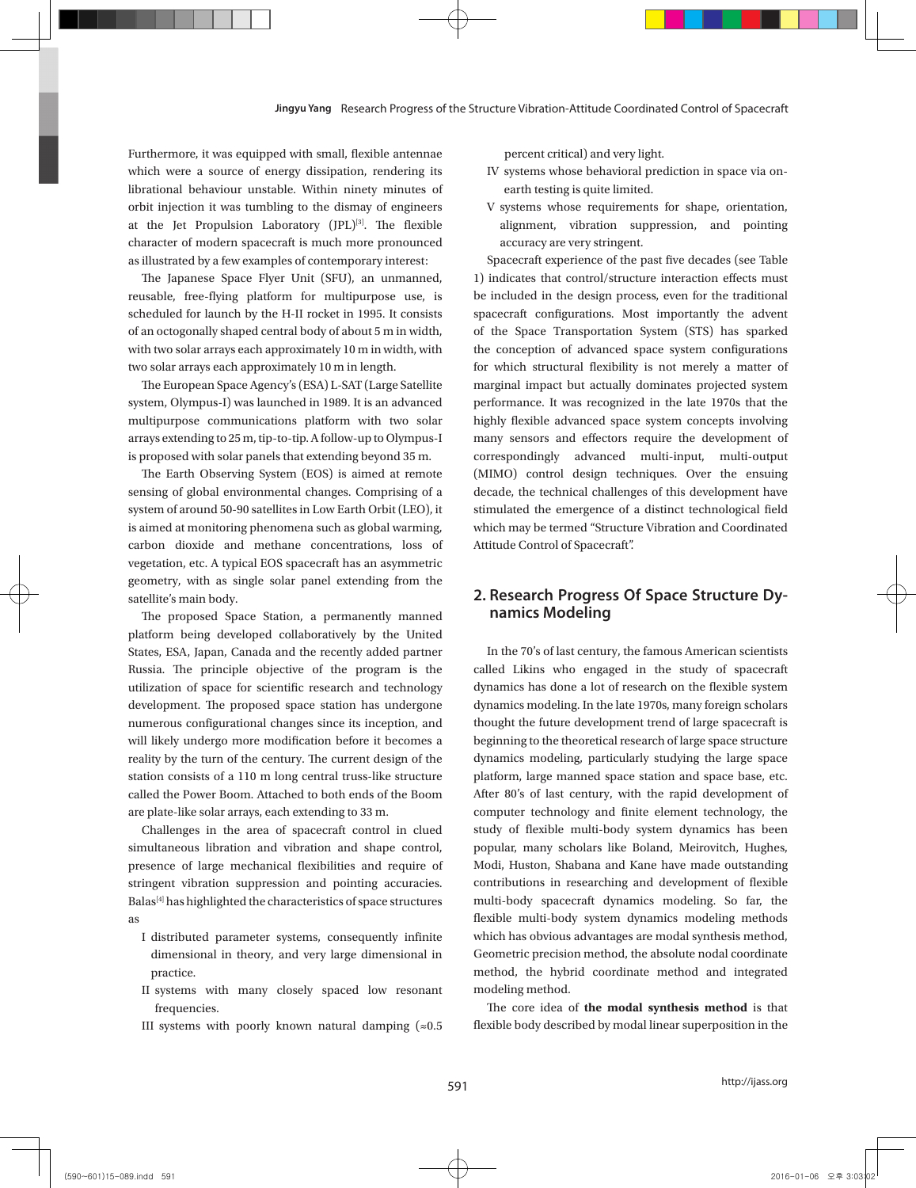Furthermore, it was equipped with small, flexible antennae which were a source of energy dissipation, rendering its librational behaviour unstable. Within ninety minutes of orbit injection it was tumbling to the dismay of engineers at the Jet Propulsion Laboratory (JPL)<sup>[3]</sup>. The flexible character of modern spacecraft is much more pronounced as illustrated by a few examples of contemporary interest:

The Japanese Space Flyer Unit (SFU), an unmanned, reusable, free-flying platform for multipurpose use, is scheduled for launch by the H-II rocket in 1995. It consists of an octogonally shaped central body of about 5 m in width, with two solar arrays each approximately 10 m in width, with two solar arrays each approximately 10 m in length.

The European Space Agency's (ESA) L-SAT (Large Satellite system, Olympus-I) was launched in 1989. It is an advanced multipurpose communications platform with two solar arrays extending to 25 m, tip-to-tip. A follow-up to Olympus-I is proposed with solar panels that extending beyond 35 m.

The Earth Observing System (EOS) is aimed at remote sensing of global environmental changes. Comprising of a system of around 50-90 satellites in Low Earth Orbit (LEO), it is aimed at monitoring phenomena such as global warming, carbon dioxide and methane concentrations, loss of vegetation, etc. A typical EOS spacecraft has an asymmetric geometry, with as single solar panel extending from the satellite's main body.

The proposed Space Station, a permanently manned platform being developed collaboratively by the United States, ESA, Japan, Canada and the recently added partner Russia. The principle objective of the program is the utilization of space for scientific research and technology development. The proposed space station has undergone numerous configurational changes since its inception, and will likely undergo more modification before it becomes a reality by the turn of the century. The current design of the station consists of a 110 m long central truss-like structure called the Power Boom. Attached to both ends of the Boom are plate-like solar arrays, each extending to 33 m.

Challenges in the area of spacecraft control in clued simultaneous libration and vibration and shape control, presence of large mechanical flexibilities and require of stringent vibration suppression and pointing accuracies. Balas<sup>[4]</sup> has highlighted the characteristics of space structures as

- I distributed parameter systems, consequently infinite dimensional in theory, and very large dimensional in practice.
- II systems with many closely spaced low resonant frequencies.
- III systems with poorly known natural damping  $(\approx 0.5)$

percent critical) and very light.

- IV systems whose behavioral prediction in space via onearth testing is quite limited.
- V systems whose requirements for shape, orientation, alignment, vibration suppression, and pointing accuracy are very stringent.

Spacecraft experience of the past five decades (see Table 1) indicates that control/structure interaction effects must be included in the design process, even for the traditional spacecraft configurations. Most importantly the advent of the Space Transportation System (STS) has sparked the conception of advanced space system configurations for which structural flexibility is not merely a matter of marginal impact but actually dominates projected system performance. It was recognized in the late 1970s that the highly flexible advanced space system concepts involving many sensors and effectors require the development of correspondingly advanced multi-input, multi-output (MIMO) control design techniques. Over the ensuing decade, the technical challenges of this development have stimulated the emergence of a distinct technological field which may be termed "Structure Vibration and Coordinated Attitude Control of Spacecraft".

## **2. Research Progress Of Space Structure Dynamics Modeling**

In the 70's of last century, the famous American scientists called Likins who engaged in the study of spacecraft dynamics has done a lot of research on the flexible system dynamics modeling. In the late 1970s, many foreign scholars thought the future development trend of large spacecraft is beginning to the theoretical research of large space structure dynamics modeling, particularly studying the large space platform, large manned space station and space base, etc. After 80's of last century, with the rapid development of computer technology and finite element technology, the study of flexible multi-body system dynamics has been popular, many scholars like Boland, Meirovitch, Hughes, Modi, Huston, Shabana and Kane have made outstanding contributions in researching and development of flexible multi-body spacecraft dynamics modeling. So far, the flexible multi-body system dynamics modeling methods which has obvious advantages are modal synthesis method, Geometric precision method, the absolute nodal coordinate method, the hybrid coordinate method and integrated modeling method.

The core idea of **the modal synthesis method** is that flexible body described by modal linear superposition in the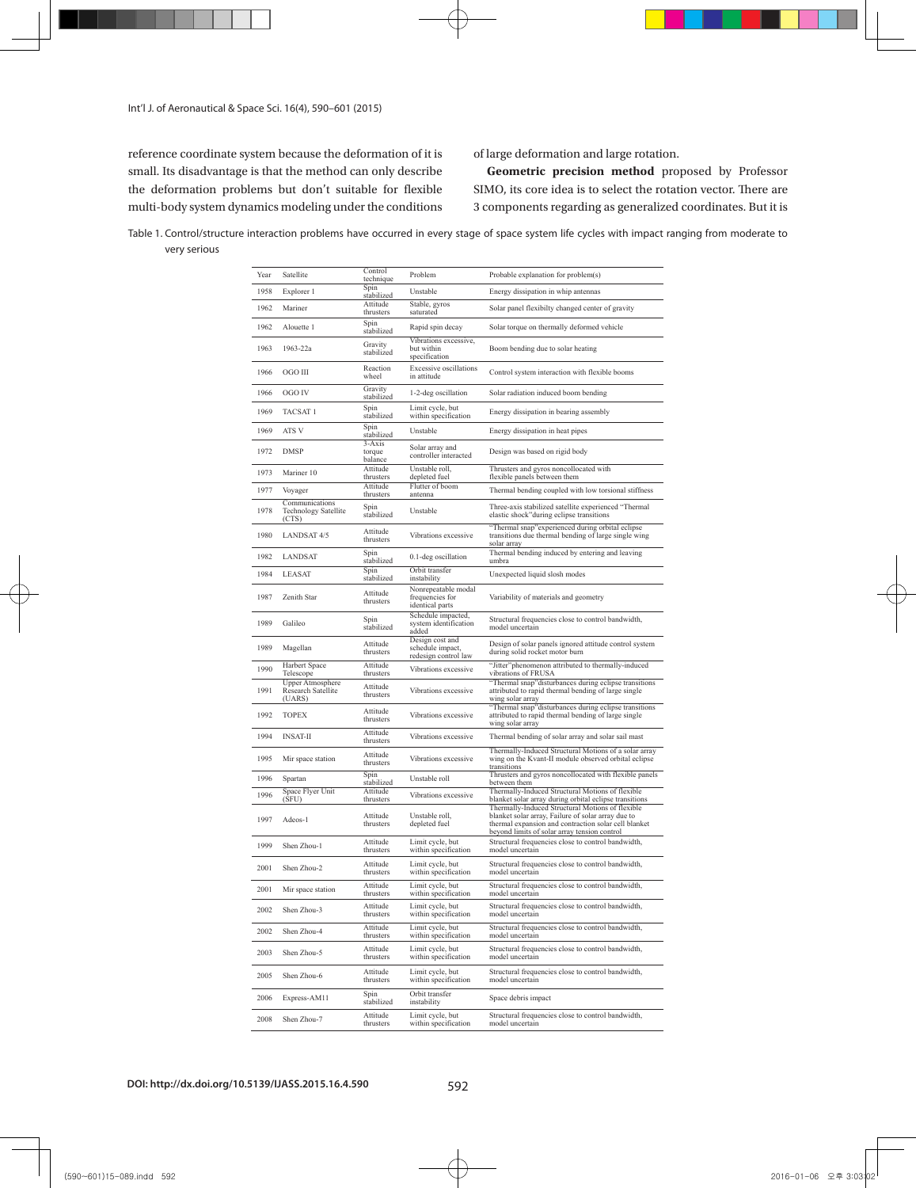Int'l J. of Aeronautical & Space Sci. 16(4), 590–601 (2015)

reference coordinate system because the deformation of it is small. Its disadvantage is that the method can only describe the deformation problems but don't suitable for flexible multi-body system dynamics modeling under the conditions of large deformation and large rotation.

**Geometric precision method** proposed by Professor SIMO, its core idea is to select the rotation vector. There are 3 components regarding as generalized coordinates. But it is

Table 1. Control/structure interaction problems have occurred in every stage of space system life cycles with impact ranging from moderate to very serious

| Year | Satellite                                              | Control                             | Problem                                                     | Probable explanation for problem(s)                                                                                                                                                                            |
|------|--------------------------------------------------------|-------------------------------------|-------------------------------------------------------------|----------------------------------------------------------------------------------------------------------------------------------------------------------------------------------------------------------------|
| 1958 | Explorer 1                                             | technique<br>Spin                   | Unstable                                                    | Energy dissipation in whip antennas                                                                                                                                                                            |
| 1962 | Mariner                                                | stabilized<br>Attitude              | Stable, gyros                                               | Solar panel flexibilty changed center of gravity                                                                                                                                                               |
| 1962 | Alouette 1                                             | thrusters<br>Spin                   | saturated<br>Rapid spin decay                               | Solar torque on thermally deformed vehicle                                                                                                                                                                     |
| 1963 | 1963-22a                                               | stabilized<br>Gravity<br>stabilized | Vibrations excessive,<br>but within<br>specification        | Boom bending due to solar heating                                                                                                                                                                              |
| 1966 | OGO III                                                | Reaction<br>wheel                   | <b>Excessive oscillations</b><br>in attitude                | Control system interaction with flexible booms                                                                                                                                                                 |
| 1966 | OGO IV                                                 | Gravity<br>stabilized               | 1-2-deg oscillation                                         | Solar radiation induced boom bending                                                                                                                                                                           |
| 1969 | TACSAT 1                                               | Spin<br>stabilized                  | Limit cycle, but<br>within specification                    | Energy dissipation in bearing assembly                                                                                                                                                                         |
| 1969 | ATS V                                                  | Spin<br>stabilized                  | Unstable                                                    | Energy dissipation in heat pipes                                                                                                                                                                               |
| 1972 | <b>DMSP</b>                                            | 3-Axis<br>torque<br>balance         | Solar array and<br>controller interacted                    | Design was based on rigid body                                                                                                                                                                                 |
| 1973 | Mariner 10                                             | Attitude<br>thrusters               | Unstable roll,<br>depleted fuel                             | Thrusters and gyros noncollocated with<br>flexible panels between them                                                                                                                                         |
| 1977 | Voyager                                                | Attitude<br>thrusters               | Flutter of boom<br>antenna                                  | Thermal bending coupled with low torsional stiffness                                                                                                                                                           |
| 1978 | Communications<br><b>Technology Satellite</b><br>(CTS) | Spin<br>stabilized                  | Unstable                                                    | Three-axis stabilized satellite experienced "Thermal<br>elastic shock" during eclipse transitions                                                                                                              |
| 1980 | <b>LANDSAT 4/5</b>                                     | Attitude<br>thrusters               | Vibrations excessive                                        | "Thermal snap" experienced during orbital eclipse<br>transitions due thermal bending of large single wing<br>solar array                                                                                       |
| 1982 | LANDSAT                                                | Spin<br>stabilized                  | 0.1-deg oscillation                                         | Thermal bending induced by entering and leaving<br>umbra                                                                                                                                                       |
| 1984 | <b>LEASAT</b>                                          | Spin<br>stabilized                  | Orbit transfer<br>instability                               | Unexpected liquid slosh modes                                                                                                                                                                                  |
| 1987 | Zenith Star                                            | Attitude<br>thrusters               | Nonrepeatable modal<br>frequencies for<br>identical parts   | Variability of materials and geometry                                                                                                                                                                          |
| 1989 | Galileo                                                | Spin<br>stabilized                  | Schedule impacted,<br>system identification<br>added        | Structural frequencies close to control bandwidth,<br>model uncertain                                                                                                                                          |
| 1989 | Magellan                                               | Attitude<br>thrusters               | Design cost and<br>schedule impact,<br>redesign control law | Design of solar panels ignored attitude control system<br>during solid rocket motor burn                                                                                                                       |
| 1990 | Harbert Space<br>Telescope                             | Attitude<br>thrusters               | Vibrations excessive                                        | "Jitter" phenomenon attributed to thermally-induced<br>vibrations of FRUSA                                                                                                                                     |
| 1991 | Upper Atmosphere<br>Research Satellite<br>(UARS)       | Attitude<br>thrusters               | Vibrations excessive                                        | "Thermal snap"disturbances during eclipse transitions<br>attributed to rapid thermal bending of large single<br>wing solar array                                                                               |
| 1992 | <b>TOPEX</b>                                           | Attitude<br>thrusters               | Vibrations excessive                                        | "Thermal snap"disturbances during eclipse transitions<br>attributed to rapid thermal bending of large single<br>wing solar array                                                                               |
| 1994 | <b>INSAT-II</b>                                        | Attitude<br>thrusters               | Vibrations excessive                                        | Thermal bending of solar array and solar sail mast                                                                                                                                                             |
| 1995 | Mir space station                                      | Attitude<br>thrusters               | Vibrations excessive                                        | Thermally-Induced Structural Motions of a solar array<br>wing on the Kvant-II module observed orbital eclipse<br>transitions                                                                                   |
| 1996 | Spartan                                                | Spin<br>stabilized                  | Unstable roll                                               | Thrusters and gyros noncollocated with flexible panels<br>between them                                                                                                                                         |
| 1996 | Space Flyer Unit<br>(SFU)                              | Attitude<br>thrusters               | Vibrations excessive                                        | Thermally-Induced Structural Motions of flexible<br>blanket solar array during orbital eclipse transitions                                                                                                     |
| 1997 | Adeos-1                                                | Attitude<br>thrusters               | Unstable roll,<br>depleted fuel                             | Thermally-Induced Structural Motions of flexible<br>blanket solar array, Failure of solar array due to<br>thermal expansion and contraction solar cell blanket<br>beyond limits of solar array tension control |
| 1999 | Shen Zhou-1                                            | Attitude<br>thrusters               | Limit cycle, but<br>within specification                    | Structural frequencies close to control bandwidth,<br>model uncertain                                                                                                                                          |
| 2001 | Shen Zhou-2                                            | Attitude<br>thrusters               | Limit cycle, but<br>within specification                    | Structural frequencies close to control bandwidth,<br>model uncertain                                                                                                                                          |
| 2001 | Mir space station                                      | Attitude<br>thrusters               | Limit cycle, but<br>within specification                    | Structural frequencies close to control bandwidth,<br>model uncertain                                                                                                                                          |
| 2002 | Shen Zhou-3                                            | Attitude<br>thrusters               | Limit cycle, but<br>within specification                    | Structural frequencies close to control bandwidth,<br>model uncertain                                                                                                                                          |
| 2002 | Shen Zhou-4                                            | Attitude<br>thrusters               | Limit cycle, but<br>within specification                    | Structural frequencies close to control bandwidth,<br>model uncertain                                                                                                                                          |
| 2003 | Shen Zhou-5                                            | Attitude<br>thrusters               | Limit cycle, but<br>within specification                    | Structural frequencies close to control bandwidth,<br>model uncertain                                                                                                                                          |
| 2005 | Shen Zhou-6                                            | Attitude<br>thrusters               | Limit cycle, but<br>within specification                    | Structural frequencies close to control bandwidth,<br>model uncertain                                                                                                                                          |
| 2006 | Express-AM11                                           | Spin<br>stabilized                  | Orbit transfer<br>instability                               | Space debris impact                                                                                                                                                                                            |
| 2008 | Shen Zhou-7                                            | Attitude<br>thrusters               | Limit cycle, but<br>within specification                    | Structural frequencies close to control bandwidth,<br>model uncertain                                                                                                                                          |

**DOI: http://dx.doi.org/10.5139/IJASS.2015.16.4.590** 592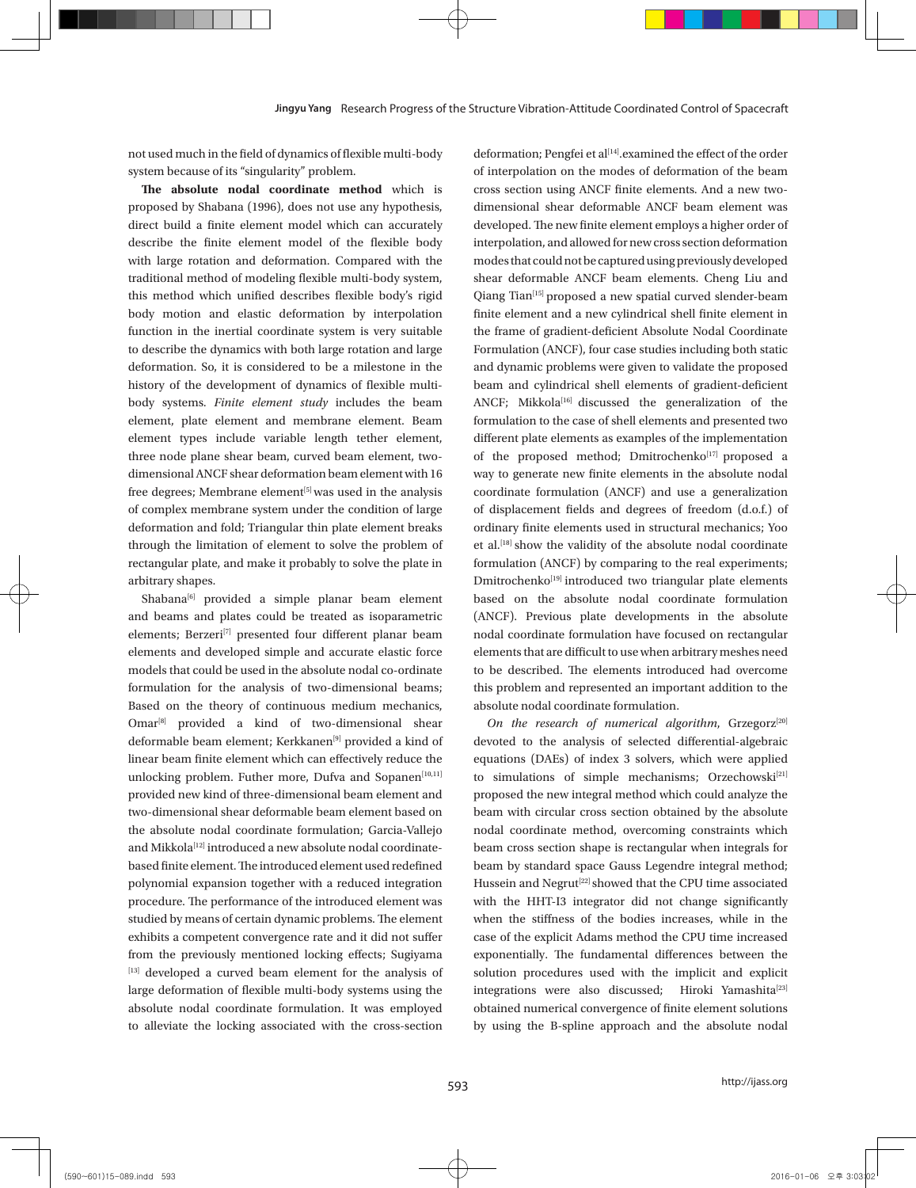not used much in the field of dynamics of flexible multi-body system because of its "singularity" problem.

**The absolute nodal coordinate method** which is proposed by Shabana (1996), does not use any hypothesis, direct build a finite element model which can accurately describe the finite element model of the flexible body with large rotation and deformation. Compared with the traditional method of modeling flexible multi-body system, this method which unified describes flexible body's rigid body motion and elastic deformation by interpolation function in the inertial coordinate system is very suitable to describe the dynamics with both large rotation and large deformation. So, it is considered to be a milestone in the history of the development of dynamics of flexible multibody systems. *Finite element study* includes the beam element, plate element and membrane element. Beam element types include variable length tether element, three node plane shear beam, curved beam element, twodimensional ANCF shear deformation beam element with 16 free degrees; Membrane element<sup>[5]</sup> was used in the analysis of complex membrane system under the condition of large deformation and fold; Triangular thin plate element breaks through the limitation of element to solve the problem of rectangular plate, and make it probably to solve the plate in arbitrary shapes.

Shabana<sup>[6]</sup> provided a simple planar beam element and beams and plates could be treated as isoparametric elements; Berzeri<sup>[7]</sup> presented four different planar beam elements and developed simple and accurate elastic force models that could be used in the absolute nodal co-ordinate formulation for the analysis of two-dimensional beams; Based on the theory of continuous medium mechanics, Omar<sup>[8]</sup> provided a kind of two-dimensional shear deformable beam element; Kerkkanen<sup>[9]</sup> provided a kind of linear beam finite element which can effectively reduce the unlocking problem. Futher more, Dufva and Sopanen<sup>[10,11]</sup> provided new kind of three-dimensional beam element and two-dimensional shear deformable beam element based on the absolute nodal coordinate formulation; Garcia-Vallejo and Mikkola<sup>[12]</sup> introduced a new absolute nodal coordinatebased finite element. The introduced element used redefined polynomial expansion together with a reduced integration procedure. The performance of the introduced element was studied by means of certain dynamic problems. The element exhibits a competent convergence rate and it did not suffer from the previously mentioned locking effects; Sugiyama [13] developed a curved beam element for the analysis of large deformation of flexible multi-body systems using the absolute nodal coordinate formulation. It was employed to alleviate the locking associated with the cross-section

deformation; Pengfei et al<sup>[14]</sup>.examined the effect of the order of interpolation on the modes of deformation of the beam cross section using ANCF finite elements. And a new twodimensional shear deformable ANCF beam element was developed. The new finite element employs a higher order of interpolation, and allowed for new cross section deformation modes that could not be captured using previously developed shear deformable ANCF beam elements. Cheng Liu and Qiang Tian<sup>[15]</sup> proposed a new spatial curved slender-beam finite element and a new cylindrical shell finite element in the frame of gradient-deficient Absolute Nodal Coordinate Formulation (ANCF), four case studies including both static and dynamic problems were given to validate the proposed beam and cylindrical shell elements of gradient-deficient ANCF; Mikkola<sup>[16]</sup> discussed the generalization of the formulation to the case of shell elements and presented two different plate elements as examples of the implementation of the proposed method; Dmitrochenko<sup>[17]</sup> proposed a way to generate new finite elements in the absolute nodal coordinate formulation (ANCF) and use a generalization of displacement fields and degrees of freedom (d.o.f.) of ordinary finite elements used in structural mechanics; Yoo et al.<sup>[18]</sup> show the validity of the absolute nodal coordinate formulation (ANCF) by comparing to the real experiments; Dmitrochenko<sup>[19]</sup> introduced two triangular plate elements based on the absolute nodal coordinate formulation (ANCF). Previous plate developments in the absolute nodal coordinate formulation have focused on rectangular elements that are difficult to use when arbitrary meshes need to be described. The elements introduced had overcome this problem and represented an important addition to the absolute nodal coordinate formulation.

On the research of numerical algorithm, Grzegorz<sup>[20]</sup> devoted to the analysis of selected differential-algebraic equations (DAEs) of index 3 solvers, which were applied to simulations of simple mechanisms; Orzechowski<sup>[21]</sup> proposed the new integral method which could analyze the beam with circular cross section obtained by the absolute nodal coordinate method, overcoming constraints which beam cross section shape is rectangular when integrals for beam by standard space Gauss Legendre integral method; Hussein and Negrut<sup>[22]</sup> showed that the CPU time associated with the HHT-I3 integrator did not change significantly when the stiffness of the bodies increases, while in the case of the explicit Adams method the CPU time increased exponentially. The fundamental differences between the solution procedures used with the implicit and explicit integrations were also discussed; Hiroki Yamashita<sup>[23]</sup> obtained numerical convergence of finite element solutions by using the B-spline approach and the absolute nodal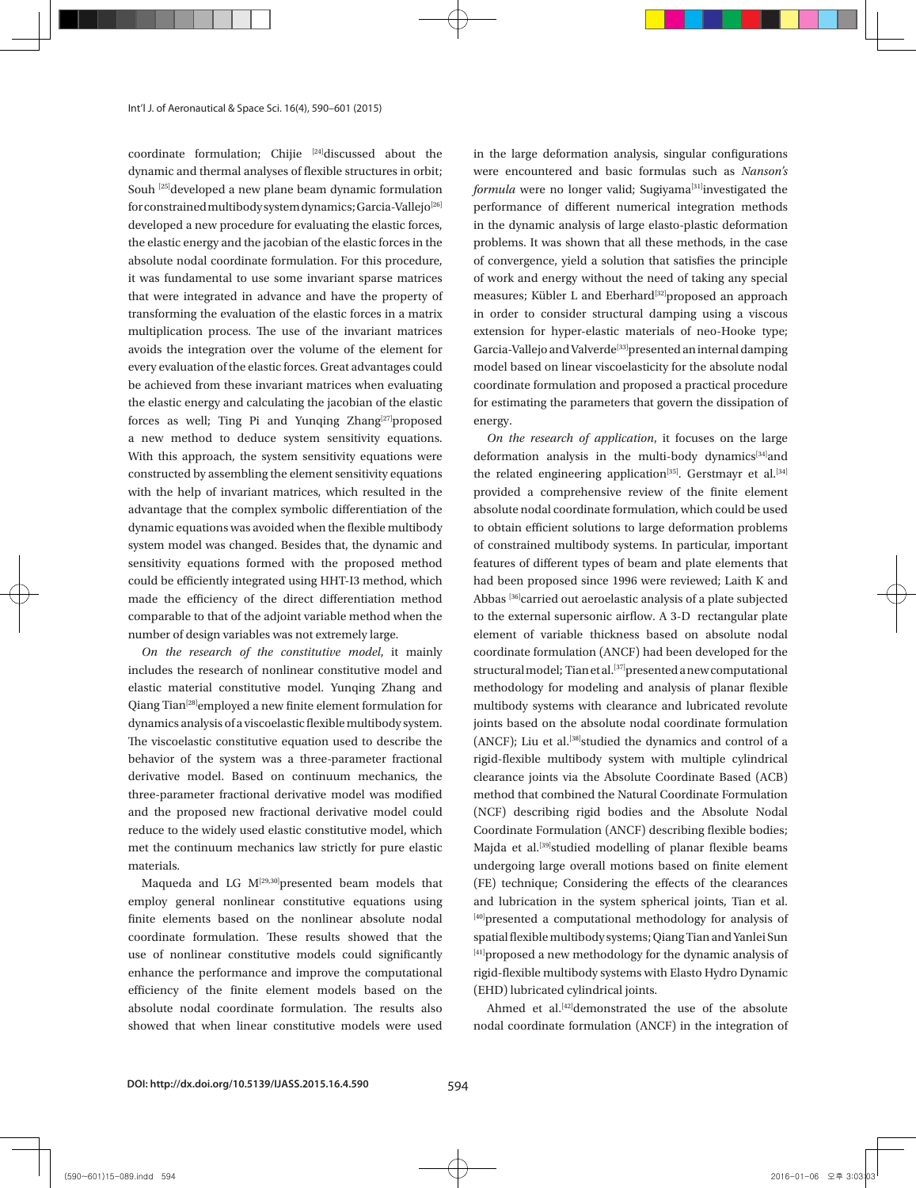coordinate formulation; Chijie [24]discussed about the dynamic and thermal analyses of flexible structures in orbit; Souh [25] developed a new plane beam dynamic formulation for constrained multibody system dynamics; Garcia-Vallejo<sup>[26]</sup> developed a new procedure for evaluating the elastic forces, the elastic energy and the jacobian of the elastic forces in the absolute nodal coordinate formulation. For this procedure, it was fundamental to use some invariant sparse matrices that were integrated in advance and have the property of transforming the evaluation of the elastic forces in a matrix multiplication process. The use of the invariant matrices avoids the integration over the volume of the element for every evaluation of the elastic forces. Great advantages could be achieved from these invariant matrices when evaluating the elastic energy and calculating the jacobian of the elastic forces as well; Ting Pi and Yunqing Zhang<sup>[27]</sup>proposed a new method to deduce system sensitivity equations. With this approach, the system sensitivity equations were constructed by assembling the element sensitivity equations with the help of invariant matrices, which resulted in the advantage that the complex symbolic differentiation of the dynamic equations was avoided when the flexible multibody system model was changed. Besides that, the dynamic and sensitivity equations formed with the proposed method could be efficiently integrated using HHT-I3 method, which made the efficiency of the direct differentiation method comparable to that of the adjoint variable method when the number of design variables was not extremely large.

*On the research of the constitutive model*, it mainly includes the research of nonlinear constitutive model and elastic material constitutive model. Yunqing Zhang and Qiang Tian[28]employed a new finite element formulation for dynamics analysis of a viscoelastic flexible multibody system. The viscoelastic constitutive equation used to describe the behavior of the system was a three-parameter fractional derivative model. Based on continuum mechanics, the three-parameter fractional derivative model was modified and the proposed new fractional derivative model could reduce to the widely used elastic constitutive model, which met the continuum mechanics law strictly for pure elastic materials.

Maqueda and LG M<sup>[29,30]</sup>presented beam models that employ general nonlinear constitutive equations using finite elements based on the nonlinear absolute nodal coordinate formulation. These results showed that the use of nonlinear constitutive models could significantly enhance the performance and improve the computational efficiency of the finite element models based on the absolute nodal coordinate formulation. The results also showed that when linear constitutive models were used

in the large deformation analysis, singular configurations were encountered and basic formulas such as *Nanson's formula* were no longer valid; Sugiyama<sup>[31]</sup>investigated the performance of different numerical integration methods in the dynamic analysis of large elasto-plastic deformation problems. It was shown that all these methods, in the case of convergence, yield a solution that satisfies the principle of work and energy without the need of taking any special measures; Kübler L and Eberhard<sup>[32]</sup>proposed an approach in order to consider structural damping using a viscous extension for hyper-elastic materials of neo-Hooke type; Garcia-Vallejo and Valverde<sup>[33]</sup>presented an internal damping model based on linear viscoelasticity for the absolute nodal coordinate formulation and proposed a practical procedure for estimating the parameters that govern the dissipation of energy.

*On the research of application*, it focuses on the large deformation analysis in the multi-body dynamics<sup>[34]</sup>and the related engineering application<sup>[35]</sup>. Gerstmayr et al.<sup>[34]</sup> provided a comprehensive review of the finite element absolute nodal coordinate formulation, which could be used to obtain efficient solutions to large deformation problems of constrained multibody systems. In particular, important features of different types of beam and plate elements that had been proposed since 1996 were reviewed; Laith K and Abbas<sup>[36]</sup>carried out aeroelastic analysis of a plate subjected to the external supersonic airflow. A 3-D rectangular plate element of variable thickness based on absolute nodal coordinate formulation (ANCF) had been developed for the structural model; Tian et al.<sup>[37]</sup>presented a new computational methodology for modeling and analysis of planar flexible multibody systems with clearance and lubricated revolute joints based on the absolute nodal coordinate formulation (ANCF); Liu et al.<sup>[38]</sup>studied the dynamics and control of a rigid-flexible multibody system with multiple cylindrical clearance joints via the Absolute Coordinate Based (ACB) method that combined the Natural Coordinate Formulation (NCF) describing rigid bodies and the Absolute Nodal Coordinate Formulation (ANCF) describing flexible bodies; Majda et al.<sup>[39]</sup>studied modelling of planar flexible beams undergoing large overall motions based on finite element (FE) technique; Considering the effects of the clearances and lubrication in the system spherical joints, Tian et al. [40]presented a computational methodology for analysis of spatial flexible multibody systems; Qiang Tian and Yanlei Sun [41] proposed a new methodology for the dynamic analysis of rigid-flexible multibody systems with Elasto Hydro Dynamic (EHD) lubricated cylindrical joints.

Ahmed et al.<sup>[42]</sup>demonstrated the use of the absolute nodal coordinate formulation (ANCF) in the integration of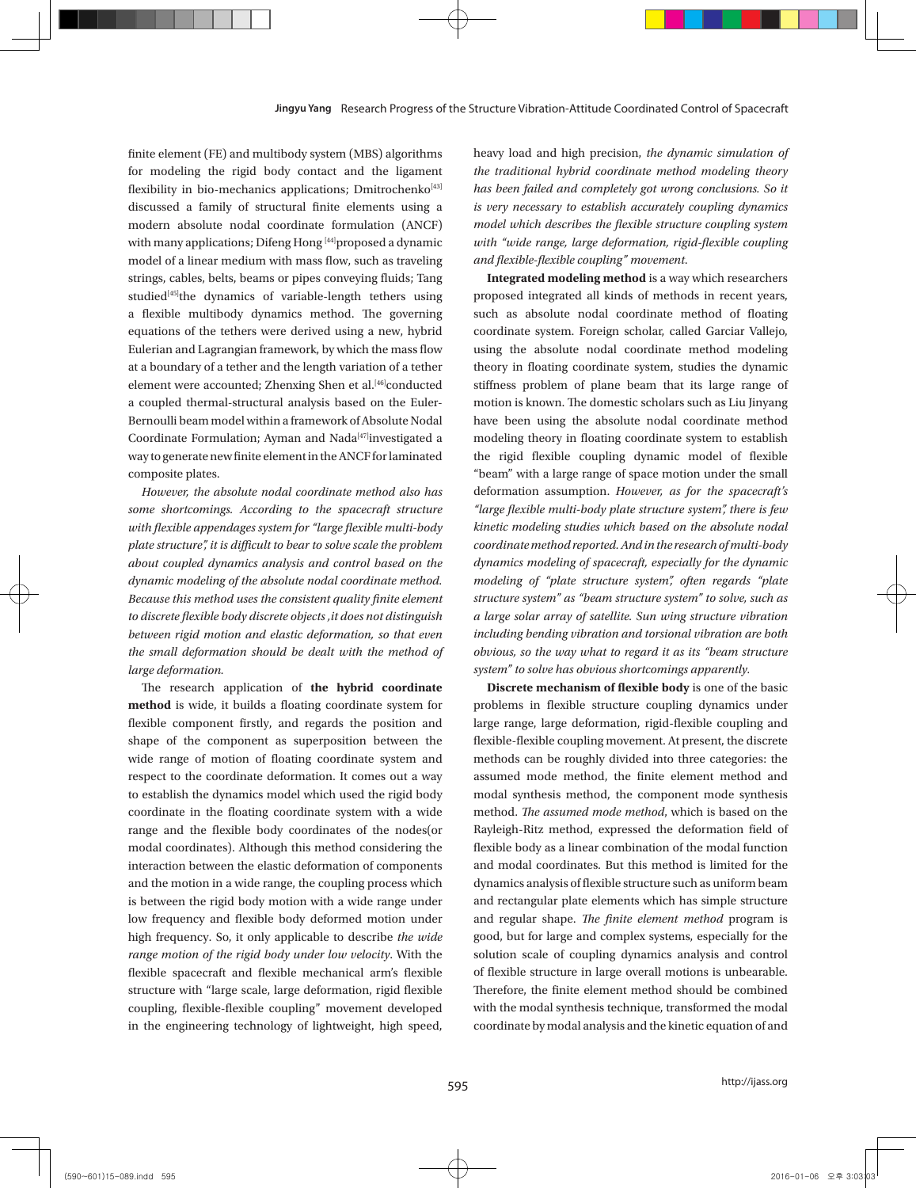finite element (FE) and multibody system (MBS) algorithms for modeling the rigid body contact and the ligament flexibility in bio-mechanics applications; Dmitrochenko<sup>[43]</sup> discussed a family of structural finite elements using a modern absolute nodal coordinate formulation (ANCF) with many applications; Difeng Hong [44] proposed a dynamic model of a linear medium with mass flow, such as traveling strings, cables, belts, beams or pipes conveying fluids; Tang studied<sup>[45]</sup>the dynamics of variable-length tethers using a flexible multibody dynamics method. The governing equations of the tethers were derived using a new, hybrid Eulerian and Lagrangian framework, by which the mass flow at a boundary of a tether and the length variation of a tether element were accounted; Zhenxing Shen et al.<sup>[46]</sup>conducted a coupled thermal-structural analysis based on the Euler-Bernoulli beam model within a framework of Absolute Nodal Coordinate Formulation; Ayman and Nada<sup>[47]</sup>investigated a way to generate new finite element in the ANCF for laminated composite plates.

*However, the absolute nodal coordinate method also has some shortcomings. According to the spacecraft structure with flexible appendages system for "large flexible multi-body plate structure", it is difficult to bear to solve scale the problem about coupled dynamics analysis and control based on the dynamic modeling of the absolute nodal coordinate method. Because this method uses the consistent quality finite element to discrete flexible body discrete objects ,it does not distinguish between rigid motion and elastic deformation, so that even the small deformation should be dealt with the method of large deformation.*

The research application of **the hybrid coordinate method** is wide, it builds a floating coordinate system for flexible component firstly, and regards the position and shape of the component as superposition between the wide range of motion of floating coordinate system and respect to the coordinate deformation. It comes out a way to establish the dynamics model which used the rigid body coordinate in the floating coordinate system with a wide range and the flexible body coordinates of the nodes(or modal coordinates). Although this method considering the interaction between the elastic deformation of components and the motion in a wide range, the coupling process which is between the rigid body motion with a wide range under low frequency and flexible body deformed motion under high frequency. So, it only applicable to describe *the wide range motion of the rigid body under low velocity*. With the flexible spacecraft and flexible mechanical arm's flexible structure with "large scale, large deformation, rigid flexible coupling, flexible-flexible coupling" movement developed in the engineering technology of lightweight, high speed,

heavy load and high precision, *the dynamic simulation of the traditional hybrid coordinate method modeling theory has been failed and completely got wrong conclusions. So it is very necessary to establish accurately coupling dynamics model which describes the flexible structure coupling system with "wide range, large deformation, rigid-flexible coupling and flexible-flexible coupling" movement*.

**Integrated modeling method** is a way which researchers proposed integrated all kinds of methods in recent years, such as absolute nodal coordinate method of floating coordinate system. Foreign scholar, called Garciar Vallejo, using the absolute nodal coordinate method modeling theory in floating coordinate system, studies the dynamic stiffness problem of plane beam that its large range of motion is known. The domestic scholars such as Liu Jinyang have been using the absolute nodal coordinate method modeling theory in floating coordinate system to establish the rigid flexible coupling dynamic model of flexible "beam" with a large range of space motion under the small deformation assumption. *However, as for the spacecraft's "large flexible multi-body plate structure system", there is few kinetic modeling studies which based on the absolute nodal coordinate method reported. And in the research of multi-body dynamics modeling of spacecraft, especially for the dynamic modeling of "plate structure system", often regards "plate structure system" as "beam structure system" to solve, such as a large solar array of satellite. Sun wing structure vibration including bending vibration and torsional vibration are both obvious, so the way what to regard it as its "beam structure system" to solve has obvious shortcomings apparently.*

**Discrete mechanism of flexible body** is one of the basic problems in flexible structure coupling dynamics under large range, large deformation, rigid-flexible coupling and flexible-flexible coupling movement. At present, the discrete methods can be roughly divided into three categories: the assumed mode method, the finite element method and modal synthesis method, the component mode synthesis method. *The assumed mode method*, which is based on the Rayleigh-Ritz method, expressed the deformation field of flexible body as a linear combination of the modal function and modal coordinates. But this method is limited for the dynamics analysis of flexible structure such as uniform beam and rectangular plate elements which has simple structure and regular shape. *The finite element method* program is good, but for large and complex systems, especially for the solution scale of coupling dynamics analysis and control of flexible structure in large overall motions is unbearable. Therefore, the finite element method should be combined with the modal synthesis technique, transformed the modal coordinate by modal analysis and the kinetic equation of and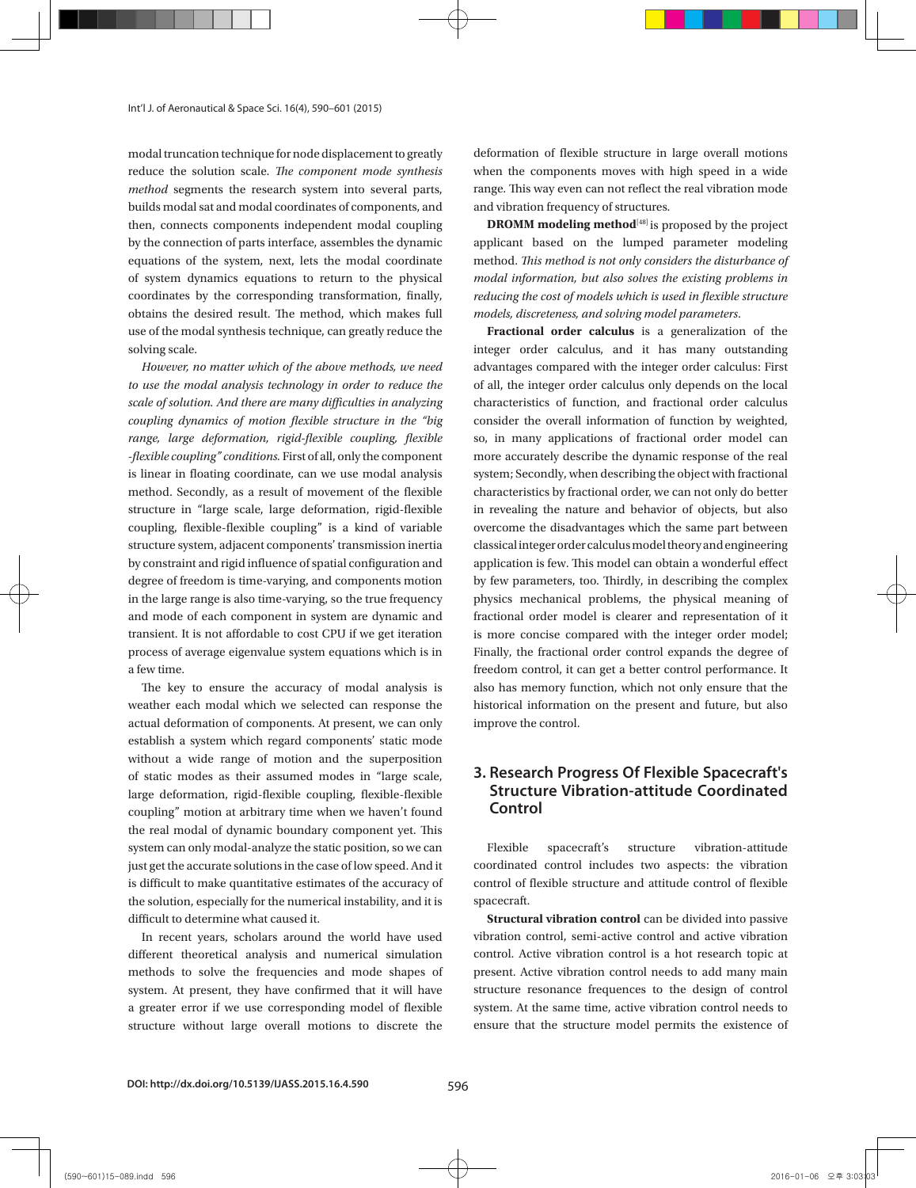modal truncation technique for node displacement to greatly reduce the solution scale. *The component mode synthesis method* segments the research system into several parts, builds modal sat and modal coordinates of components, and then, connects components independent modal coupling by the connection of parts interface, assembles the dynamic equations of the system, next, lets the modal coordinate of system dynamics equations to return to the physical coordinates by the corresponding transformation, finally, obtains the desired result. The method, which makes full use of the modal synthesis technique, can greatly reduce the solving scale.

*However, no matter which of the above methods, we need to use the modal analysis technology in order to reduce the scale of solution. And there are many difficulties in analyzing coupling dynamics of motion flexible structure in the "big range, large deformation, rigid-flexible coupling, flexible -flexible coupling" conditions.* First of all, only the component is linear in floating coordinate, can we use modal analysis method. Secondly, as a result of movement of the flexible structure in "large scale, large deformation, rigid-flexible coupling, flexible-flexible coupling" is a kind of variable structure system, adjacent components' transmission inertia by constraint and rigid influence of spatial configuration and degree of freedom is time-varying, and components motion in the large range is also time-varying, so the true frequency and mode of each component in system are dynamic and transient. It is not affordable to cost CPU if we get iteration process of average eigenvalue system equations which is in a few time.

The key to ensure the accuracy of modal analysis is weather each modal which we selected can response the actual deformation of components. At present, we can only establish a system which regard components' static mode without a wide range of motion and the superposition of static modes as their assumed modes in "large scale, large deformation, rigid-flexible coupling, flexible-flexible coupling" motion at arbitrary time when we haven't found the real modal of dynamic boundary component yet. This system can only modal-analyze the static position, so we can just get the accurate solutions in the case of low speed. And it is difficult to make quantitative estimates of the accuracy of the solution, especially for the numerical instability, and it is difficult to determine what caused it.

In recent years, scholars around the world have used different theoretical analysis and numerical simulation methods to solve the frequencies and mode shapes of system. At present, they have confirmed that it will have a greater error if we use corresponding model of flexible structure without large overall motions to discrete the

deformation of flexible structure in large overall motions when the components moves with high speed in a wide range. This way even can not reflect the real vibration mode and vibration frequency of structures.

**DROMM modeling method**<sup>[48]</sup> is proposed by the project applicant based on the lumped parameter modeling method. *This method is not only considers the disturbance of modal information, but also solves the existing problems in reducing the cost of models which is used in flexible structure models, discreteness, and solving model parameters*.

**Fractional order calculus** is a generalization of the integer order calculus, and it has many outstanding advantages compared with the integer order calculus: First of all, the integer order calculus only depends on the local characteristics of function, and fractional order calculus consider the overall information of function by weighted, so, in many applications of fractional order model can more accurately describe the dynamic response of the real system; Secondly, when describing the object with fractional characteristics by fractional order, we can not only do better in revealing the nature and behavior of objects, but also overcome the disadvantages which the same part between classical integer order calculus model theory and engineering application is few. This model can obtain a wonderful effect by few parameters, too. Thirdly, in describing the complex physics mechanical problems, the physical meaning of fractional order model is clearer and representation of it is more concise compared with the integer order model; Finally, the fractional order control expands the degree of freedom control, it can get a better control performance. It also has memory function, which not only ensure that the historical information on the present and future, but also improve the control.

## **3. Research Progress Of Flexible Spacecraft's Structure Vibration-attitude Coordinated Control**

Flexible spacecraft's structure vibration-attitude coordinated control includes two aspects: the vibration control of flexible structure and attitude control of flexible spacecraft.

**Structural vibration control** can be divided into passive vibration control, semi-active control and active vibration control. Active vibration control is a hot research topic at present. Active vibration control needs to add many main structure resonance frequences to the design of control system. At the same time, active vibration control needs to ensure that the structure model permits the existence of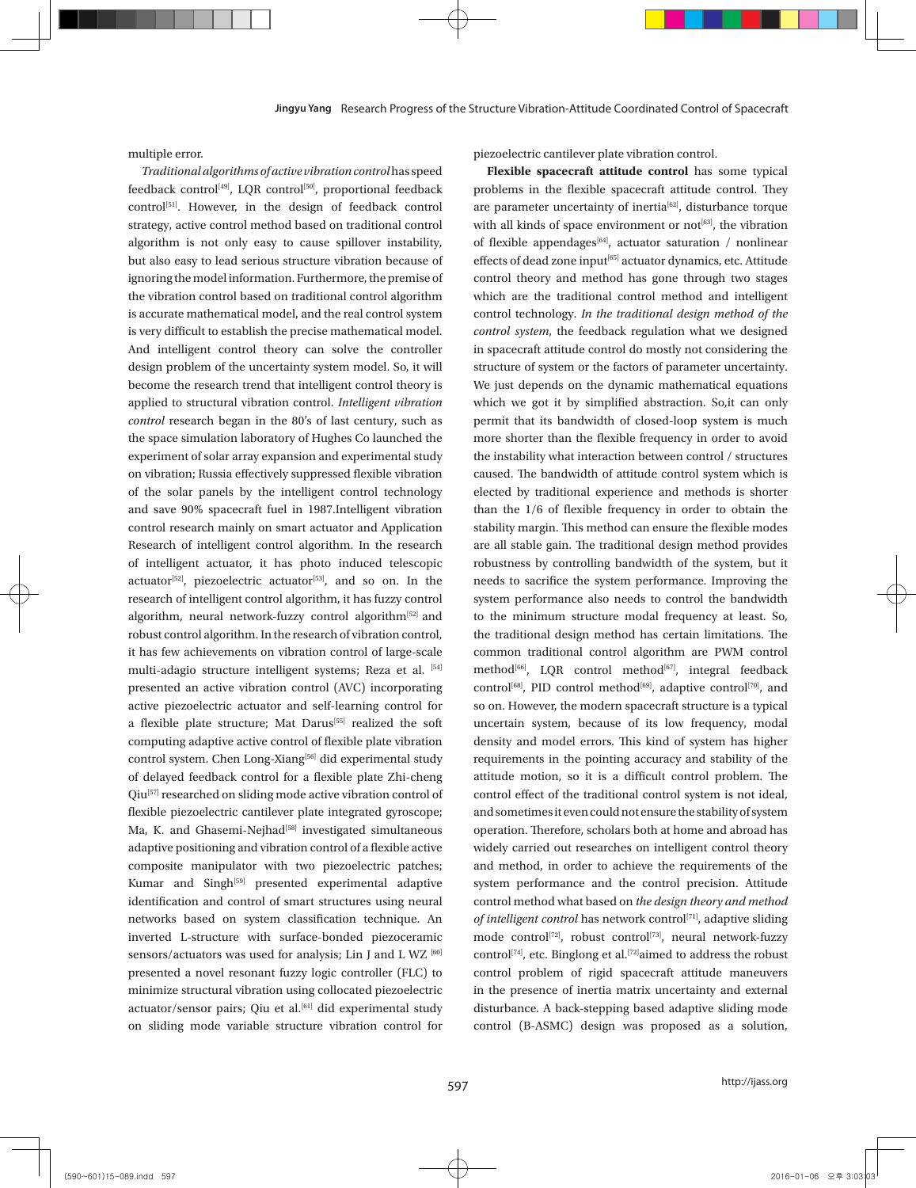multiple error.

*Traditional algorithms of active vibration control* has speed feedback control<sup>[49]</sup>, LQR control<sup>[50]</sup>, proportional feedback control<sup>[51]</sup>. However, in the design of feedback control strategy, active control method based on traditional control algorithm is not only easy to cause spillover instability, but also easy to lead serious structure vibration because of ignoring the model information. Furthermore, the premise of the vibration control based on traditional control algorithm is accurate mathematical model, and the real control system is very difficult to establish the precise mathematical model. And intelligent control theory can solve the controller design problem of the uncertainty system model. So, it will become the research trend that intelligent control theory is applied to structural vibration control. *Intelligent vibration control* research began in the 80's of last century, such as the space simulation laboratory of Hughes Co launched the experiment of solar array expansion and experimental study on vibration; Russia effectively suppressed flexible vibration of the solar panels by the intelligent control technology and save 90% spacecraft fuel in 1987.Intelligent vibration control research mainly on smart actuator and Application Research of intelligent control algorithm. In the research of intelligent actuator, it has photo induced telescopic actuator<sup>[52]</sup>, piezoelectric actuator<sup>[53]</sup>, and so on. In the research of intelligent control algorithm, it has fuzzy control algorithm, neural network-fuzzy control algorithm<sup>[52]</sup> and robust control algorithm. In the research of vibration control, it has few achievements on vibration control of large-scale multi-adagio structure intelligent systems; Reza et al. [54] presented an active vibration control (AVC) incorporating active piezoelectric actuator and self-learning control for a flexible plate structure; Mat Darus<sup>[55]</sup> realized the soft computing adaptive active control of flexible plate vibration control system. Chen Long-Xiang<sup>[56]</sup> did experimental study of delayed feedback control for a flexible plate Zhi-cheng Qiu<sup>[57]</sup> researched on sliding mode active vibration control of flexible piezoelectric cantilever plate integrated gyroscope; Ma, K. and Ghasemi-Nejhad<sup>[58]</sup> investigated simultaneous adaptive positioning and vibration control of a flexible active composite manipulator with two piezoelectric patches; Kumar and Singh<sup>[59]</sup> presented experimental adaptive identification and control of smart structures using neural networks based on system classification technique. An inverted L-structure with surface-bonded piezoceramic sensors/actuators was used for analysis; Lin J and L WZ [60] presented a novel resonant fuzzy logic controller (FLC) to minimize structural vibration using collocated piezoelectric actuator/sensor pairs; Qiu et al.<sup>[61]</sup> did experimental study on sliding mode variable structure vibration control for

piezoelectric cantilever plate vibration control.

**Flexible spacecraft attitude control** has some typical problems in the flexible spacecraft attitude control. They are parameter uncertainty of inertia<sup>[62]</sup>, disturbance torque with all kinds of space environment or not<sup>[63]</sup>, the vibration of flexible appendages<sup>[64]</sup>, actuator saturation / nonlinear effects of dead zone input<sup>[65]</sup> actuator dynamics, etc. Attitude control theory and method has gone through two stages which are the traditional control method and intelligent control technology. *In the traditional design method of the control system*, the feedback regulation what we designed in spacecraft attitude control do mostly not considering the structure of system or the factors of parameter uncertainty. We just depends on the dynamic mathematical equations which we got it by simplified abstraction. So,it can only permit that its bandwidth of closed-loop system is much more shorter than the flexible frequency in order to avoid the instability what interaction between control / structures caused. The bandwidth of attitude control system which is elected by traditional experience and methods is shorter than the 1/6 of flexible frequency in order to obtain the stability margin. This method can ensure the flexible modes are all stable gain. The traditional design method provides robustness by controlling bandwidth of the system, but it needs to sacrifice the system performance. Improving the system performance also needs to control the bandwidth to the minimum structure modal frequency at least. So, the traditional design method has certain limitations. The common traditional control algorithm are PWM control method<sup>[66]</sup>, LQR control method<sup>[67]</sup>, integral feedback control<sup>[68]</sup>, PID control method<sup>[69]</sup>, adaptive control<sup>[70]</sup>, and so on. However, the modern spacecraft structure is a typical uncertain system, because of its low frequency, modal density and model errors. This kind of system has higher requirements in the pointing accuracy and stability of the attitude motion, so it is a difficult control problem. The control effect of the traditional control system is not ideal, and sometimes it even could not ensure the stability of system operation. Therefore, scholars both at home and abroad has widely carried out researches on intelligent control theory and method, in order to achieve the requirements of the system performance and the control precision. Attitude control method what based on *the design theory and method of intelligent control* has network control<sup>[71]</sup>, adaptive sliding mode control<sup>[72]</sup>, robust control<sup>[73]</sup>, neural network-fuzzy control<sup>[74]</sup>, etc. Binglong et al.<sup>[72]</sup>aimed to address the robust control problem of rigid spacecraft attitude maneuvers in the presence of inertia matrix uncertainty and external disturbance. A back-stepping based adaptive sliding mode control (B-ASMC) design was proposed as a solution,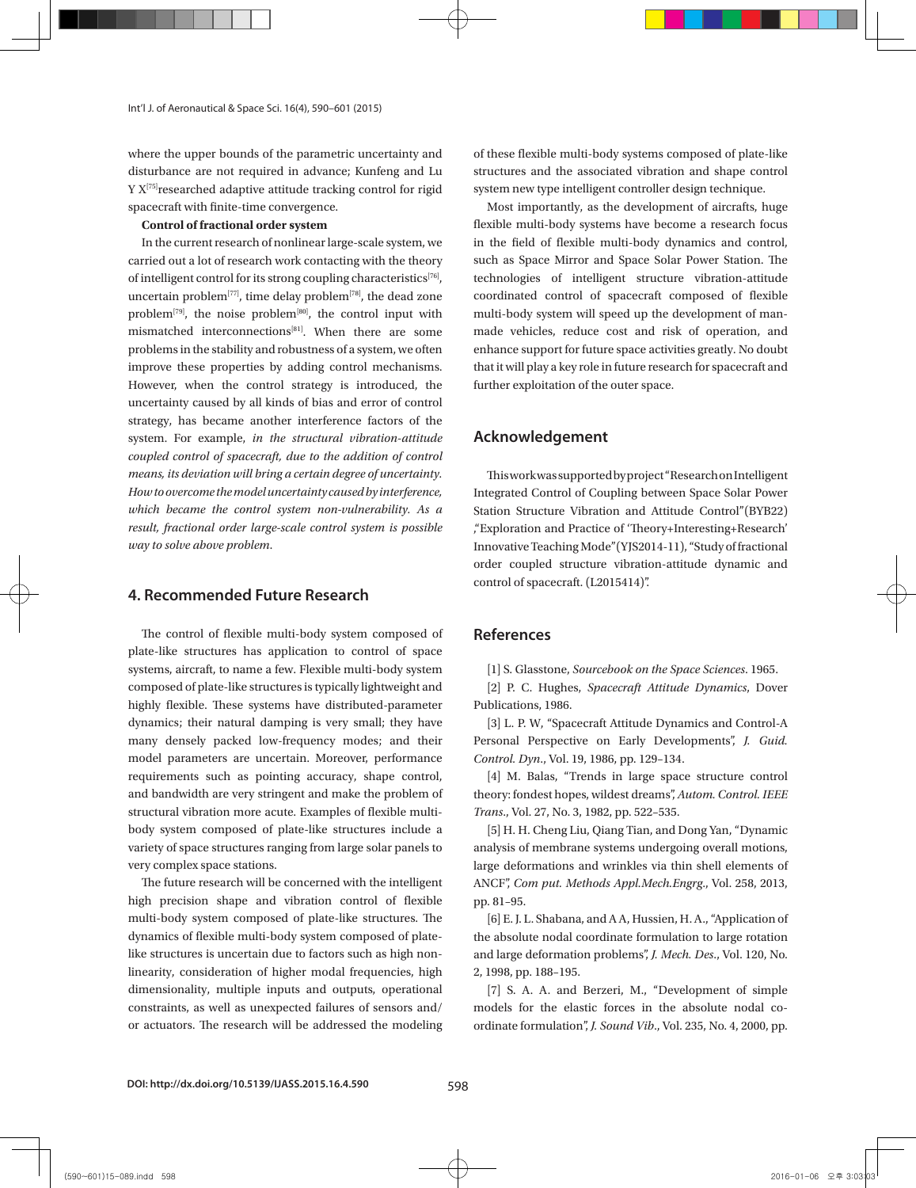where the upper bounds of the parametric uncertainty and disturbance are not required in advance; Kunfeng and Lu Y X<sup>[75]</sup>researched adaptive attitude tracking control for rigid spacecraft with finite-time convergence.

#### **Control of fractional order system**

In the current research of nonlinear large-scale system, we carried out a lot of research work contacting with the theory of intelligent control for its strong coupling characteristics<sup>[76]</sup>, uncertain problem<sup>[77]</sup>, time delay problem<sup>[78]</sup>, the dead zone problem<sup>[79]</sup>, the noise problem<sup>[80]</sup>, the control input with mismatched interconnections[81]. When there are some problems in the stability and robustness of a system, we often improve these properties by adding control mechanisms. However, when the control strategy is introduced, the uncertainty caused by all kinds of bias and error of control strategy, has became another interference factors of the system. For example, *in the structural vibration-attitude coupled control of spacecraft, due to the addition of control means, its deviation will bring a certain degree of uncertainty. How to overcome the model uncertainty caused by interference, which became the control system non-vulnerability. As a result, fractional order large-scale control system is possible way to solve above problem*.

### **4. Recommended Future Research**

The control of flexible multi-body system composed of plate-like structures has application to control of space systems, aircraft, to name a few. Flexible multi-body system composed of plate-like structures is typically lightweight and highly flexible. These systems have distributed-parameter dynamics; their natural damping is very small; they have many densely packed low-frequency modes; and their model parameters are uncertain. Moreover, performance requirements such as pointing accuracy, shape control, and bandwidth are very stringent and make the problem of structural vibration more acute. Examples of flexible multibody system composed of plate-like structures include a variety of space structures ranging from large solar panels to very complex space stations.

The future research will be concerned with the intelligent high precision shape and vibration control of flexible multi-body system composed of plate-like structures. The dynamics of flexible multi-body system composed of platelike structures is uncertain due to factors such as high nonlinearity, consideration of higher modal frequencies, high dimensionality, multiple inputs and outputs, operational constraints, as well as unexpected failures of sensors and/ or actuators. The research will be addressed the modeling of these flexible multi-body systems composed of plate-like structures and the associated vibration and shape control system new type intelligent controller design technique.

Most importantly, as the development of aircrafts, huge flexible multi-body systems have become a research focus in the field of flexible multi-body dynamics and control, such as Space Mirror and Space Solar Power Station. The technologies of intelligent structure vibration-attitude coordinated control of spacecraft composed of flexible multi-body system will speed up the development of manmade vehicles, reduce cost and risk of operation, and enhance support for future space activities greatly. No doubt that it will play a key role in future research for spacecraft and further exploitation of the outer space.

### **Acknowledgement**

This work was supported by project "Research on Intelligent Integrated Control of Coupling between Space Solar Power Station Structure Vibration and Attitude Control"(BYB22) ,"Exploration and Practice of 'Theory+Interesting+Research' Innovative Teaching Mode"(YJS2014-11), "Study of fractional order coupled structure vibration-attitude dynamic and control of spacecraft. (L2015414)".

### **References**

[1] S. Glasstone, *Sourcebook on the Space Sciences*. 1965.

[2] P. C. Hughes, *Spacecraft Attitude Dynamics*, Dover Publications, 1986.

[3] L. P. W, "Spacecraft Attitude Dynamics and Control-A Personal Perspective on Early Developments", *J. Guid. Control. Dyn*., Vol. 19, 1986, pp. 129–134.

[4] M. Balas, "Trends in large space structure control theory: fondest hopes, wildest dreams", *Autom. Control. IEEE Trans*., Vol. 27, No. 3, 1982, pp. 522–535.

[5] H. H. Cheng Liu, Qiang Tian, and Dong Yan, "Dynamic analysis of membrane systems undergoing overall motions, large deformations and wrinkles via thin shell elements of ANCF", *Com put. Methods Appl.Mech.Engrg*., Vol. 258, 2013, pp. 81–95.

[6] E. J. L. Shabana, and A A, Hussien, H. A., "Application of the absolute nodal coordinate formulation to large rotation and large deformation problems", *J. Mech. Des*., Vol. 120, No. 2, 1998, pp. 188–195.

[7] S. A. A. and Berzeri, M., "Development of simple models for the elastic forces in the absolute nodal coordinate formulation", *J. Sound Vib*., Vol. 235, No. 4, 2000, pp.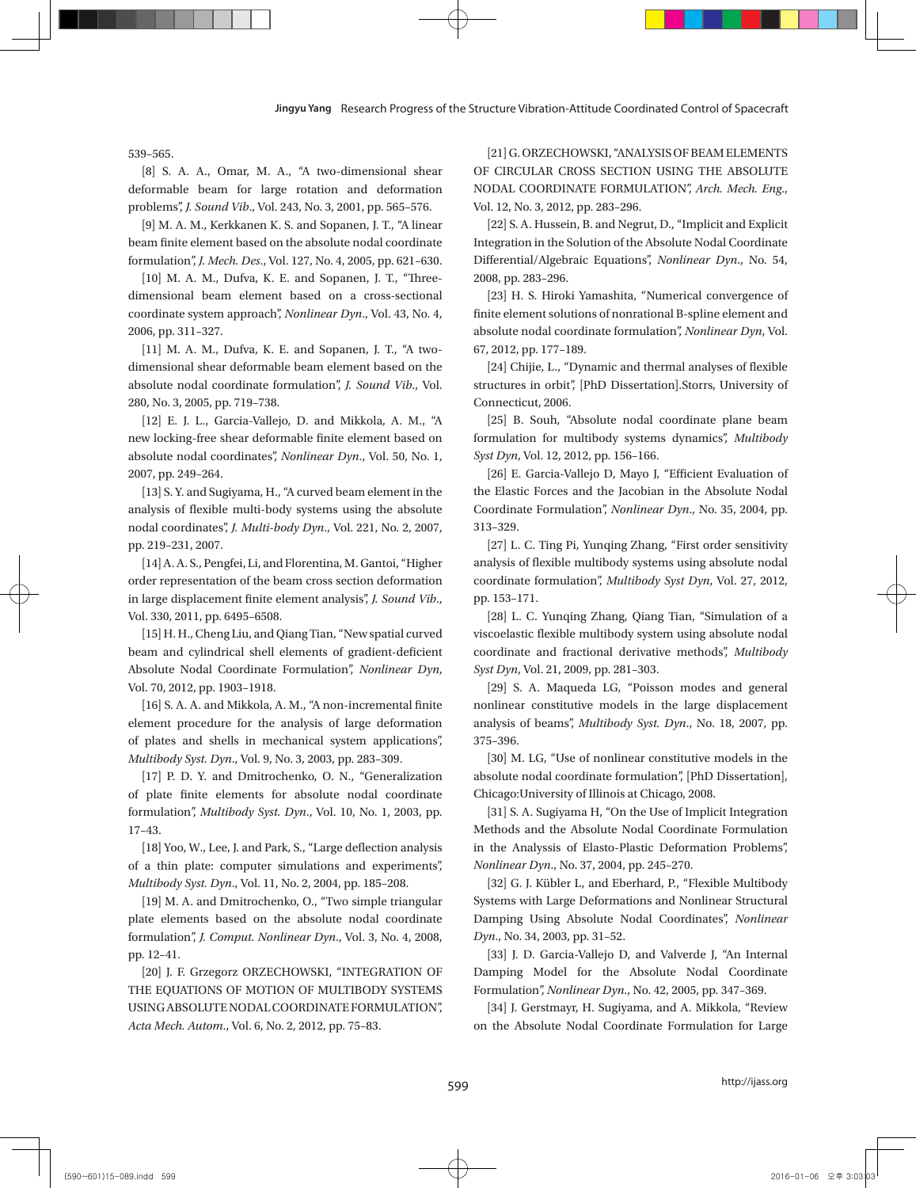539–565.

[8] S. A. A., Omar, M. A., "A two-dimensional shear deformable beam for large rotation and deformation problems", *J. Sound Vib*., Vol. 243, No. 3, 2001, pp. 565–576.

[9] M. A. M., Kerkkanen K. S. and Sopanen, J. T., "A linear beam finite element based on the absolute nodal coordinate formulation", *J. Mech. Des*., Vol. 127, No. 4, 2005, pp. 621–630.

[10] M. A. M., Dufva, K. E. and Sopanen, J. T., "Threedimensional beam element based on a cross-sectional coordinate system approach", *Nonlinear Dyn*., Vol. 43, No. 4, 2006, pp. 311–327.

[11] M. A. M., Dufva, K. E. and Sopanen, J. T., "A twodimensional shear deformable beam element based on the absolute nodal coordinate formulation", *J. Sound Vib*., Vol. 280, No. 3, 2005, pp. 719–738.

[12] E. J. L., Garcia-Vallejo, D. and Mikkola, A. M., "A new locking-free shear deformable finite element based on absolute nodal coordinates", *Nonlinear Dyn*., Vol. 50, No. 1, 2007, pp. 249–264.

[13] S. Y. and Sugiyama, H., "A curved beam element in the analysis of flexible multi-body systems using the absolute nodal coordinates", *J. Multi-body Dyn*., Vol. 221, No. 2, 2007, pp. 219–231, 2007.

[14] A. A. S., Pengfei, Li, and Florentina, M. Gantoi, "Higher order representation of the beam cross section deformation in large displacement finite element analysis", *J. Sound Vib*., Vol. 330, 2011, pp. 6495–6508.

[15] H. H., Cheng Liu, and Qiang Tian, "New spatial curved beam and cylindrical shell elements of gradient-deficient Absolute Nodal Coordinate Formulation", *Nonlinear Dyn*, Vol. 70, 2012, pp. 1903–1918.

[16] S. A. A. and Mikkola, A. M., "A non-incremental finite element procedure for the analysis of large deformation of plates and shells in mechanical system applications", *Multibody Syst. Dyn*., Vol. 9, No. 3, 2003, pp. 283–309.

[17] P. D. Y. and Dmitrochenko, O. N., "Generalization of plate finite elements for absolute nodal coordinate formulation", *Multibody Syst. Dyn*., Vol. 10, No. 1, 2003, pp. 17–43.

[18] Yoo, W., Lee, J. and Park, S., "Large deflection analysis of a thin plate: computer simulations and experiments", *Multibody Syst. Dyn*., Vol. 11, No. 2, 2004, pp. 185–208.

[19] M. A. and Dmitrochenko, O., "Two simple triangular plate elements based on the absolute nodal coordinate formulation", *J. Comput. Nonlinear Dyn*., Vol. 3, No. 4, 2008, pp. 12–41.

[20] J. F. Grzegorz ORZECHOWSKI, "INTEGRATION OF THE EQUATIONS OF MOTION OF MULTIBODY SYSTEMS USING ABSOLUTE NODAL COORDINATE FORMULATION", *Acta Mech. Autom*., Vol. 6, No. 2, 2012, pp. 75–83.

[21] G. ORZECHOWSKI, "ANALYSIS OF BEAM ELEMENTS OF CIRCULAR CROSS SECTION USING THE ABSOLUTE NODAL COORDINATE FORMULATION", *Arch. Mech. Eng*., Vol. 12, No. 3, 2012, pp. 283–296.

[22] S. A. Hussein, B. and Negrut, D., "Implicit and Explicit Integration in the Solution of the Absolute Nodal Coordinate Differential/Algebraic Equations", *Nonlinear Dyn*., No. 54, 2008, pp. 283–296.

[23] H. S. Hiroki Yamashita, "Numerical convergence of finite element solutions of nonrational B-spline element and absolute nodal coordinate formulation", *Nonlinear Dyn*, Vol. 67, 2012, pp. 177–189.

[24] Chijie, L., "Dynamic and thermal analyses of flexible structures in orbit", [PhD Dissertation].Storrs, University of Connecticut, 2006.

[25] B. Souh, "Absolute nodal coordinate plane beam formulation for multibody systems dynamics", *Multibody Syst Dyn*, Vol. 12, 2012, pp. 156–166.

[26] E. Garcia-Vallejo D, Mayo J, "Efficient Evaluation of the Elastic Forces and the Jacobian in the Absolute Nodal Coordinate Formulation", *Nonlinear Dyn*., No. 35, 2004, pp. 313–329.

[27] L. C. Ting Pi, Yunqing Zhang, "First order sensitivity analysis of flexible multibody systems using absolute nodal coordinate formulation", *Multibody Syst Dyn*, Vol. 27, 2012, pp. 153–171.

[28] L. C. Yunqing Zhang, Qiang Tian, "Simulation of a viscoelastic flexible multibody system using absolute nodal coordinate and fractional derivative methods", *Multibody Syst Dyn*, Vol. 21, 2009, pp. 281–303.

[29] S. A. Maqueda LG, "Poisson modes and general nonlinear constitutive models in the large displacement analysis of beams", *Multibody Syst. Dyn*., No. 18, 2007, pp. 375–396.

[30] M. LG, "Use of nonlinear constitutive models in the absolute nodal coordinate formulation", [PhD Dissertation], Chicago:University of Illinois at Chicago, 2008.

[31] S. A. Sugiyama H, "On the Use of Implicit Integration Methods and the Absolute Nodal Coordinate Formulation in the Analyssis of Elasto-Plastic Deformation Problems", *Nonlinear Dyn*., No. 37, 2004, pp. 245–270.

[32] G. J. Kübler L, and Eberhard, P., "Flexible Multibody Systems with Large Deformations and Nonlinear Structural Damping Using Absolute Nodal Coordinates", *Nonlinear Dyn*., No. 34, 2003, pp. 31–52.

[33] J. D. Garcia-Vallejo D, and Valverde J, "An Internal Damping Model for the Absolute Nodal Coordinate Formulation", *Nonlinear Dyn*., No. 42, 2005, pp. 347–369.

[34] J. Gerstmayr, H. Sugiyama, and A. Mikkola, "Review on the Absolute Nodal Coordinate Formulation for Large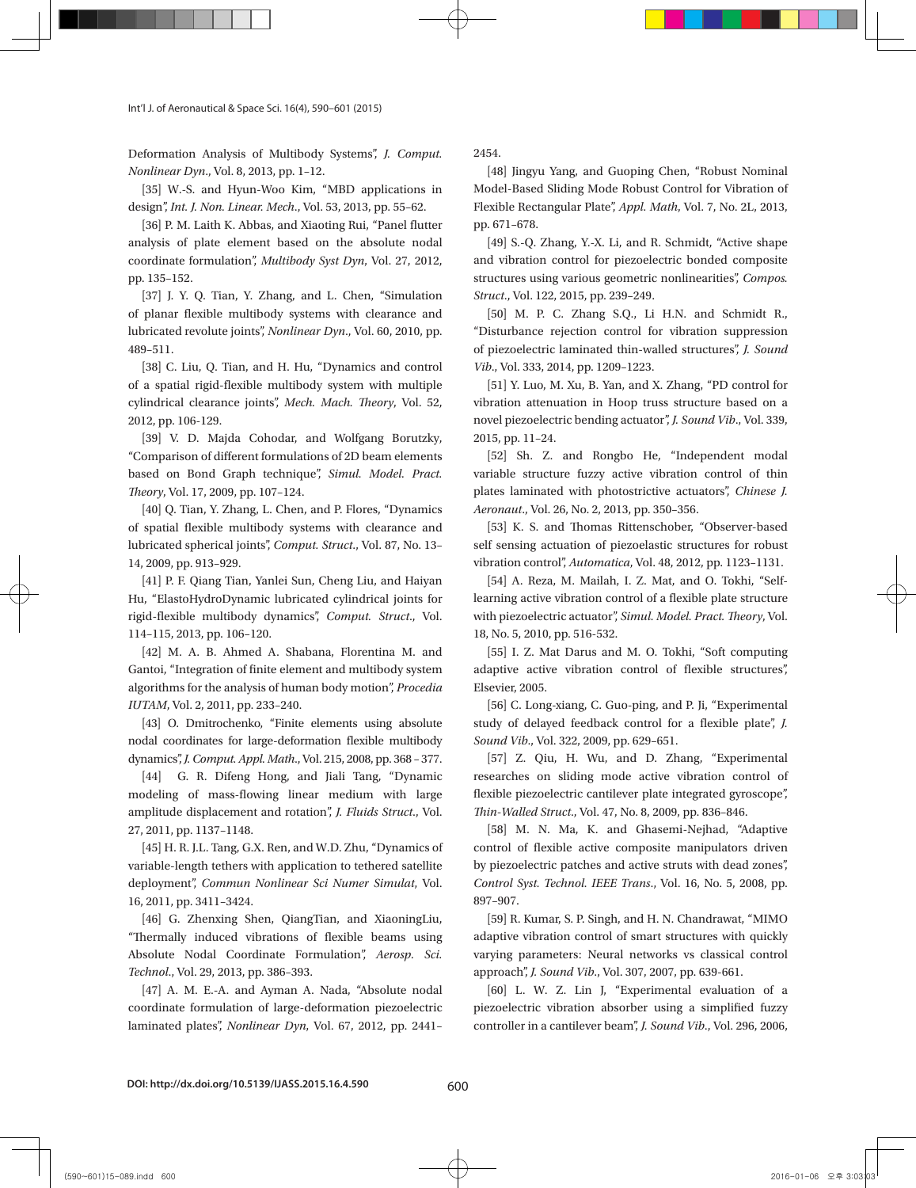Int'l J. of Aeronautical & Space Sci. 16(4), 590–601 (2015)

Deformation Analysis of Multibody Systems", *J. Comput. Nonlinear Dyn*., Vol. 8, 2013, pp. 1–12.

[35] W.-S. and Hyun-Woo Kim, "MBD applications in design", *Int. J. Non. Linear. Mech*., Vol. 53, 2013, pp. 55–62.

[36] P. M. Laith K. Abbas, and Xiaoting Rui, "Panel flutter analysis of plate element based on the absolute nodal coordinate formulation", *Multibody Syst Dyn*, Vol. 27, 2012, pp. 135–152.

[37] J. Y. Q. Tian, Y. Zhang, and L. Chen, "Simulation of planar flexible multibody systems with clearance and lubricated revolute joints", *Nonlinear Dyn*., Vol. 60, 2010, pp. 489–511.

[38] C. Liu, Q. Tian, and H. Hu, "Dynamics and control of a spatial rigid-flexible multibody system with multiple cylindrical clearance joints", *Mech. Mach. Theory*, Vol. 52, 2012, pp. 106-129.

[39] V. D. Majda Cohodar, and Wolfgang Borutzky, "Comparison of different formulations of 2D beam elements based on Bond Graph technique", *Simul. Model. Pract. Theory*, Vol. 17, 2009, pp. 107–124.

[40] Q. Tian, Y. Zhang, L. Chen, and P. Flores, "Dynamics of spatial flexible multibody systems with clearance and lubricated spherical joints", *Comput. Struct*., Vol. 87, No. 13– 14, 2009, pp. 913–929.

[41] P. F. Qiang Tian, Yanlei Sun, Cheng Liu, and Haiyan Hu, "ElastoHydroDynamic lubricated cylindrical joints for rigid-flexible multibody dynamics", *Comput. Struct*., Vol. 114–115, 2013, pp. 106–120.

[42] M. A. B. Ahmed A. Shabana, Florentina M. and Gantoi, "Integration of finite element and multibody system algorithms for the analysis of human body motion", *Procedia IUTAM*, Vol. 2, 2011, pp. 233–240.

[43] O. Dmitrochenko, "Finite elements using absolute nodal coordinates for large-deformation flexible multibody dynamics", *J. Comput. Appl. Math*., Vol. 215, 2008, pp. 368 – 377.

[44] G. R. Difeng Hong, and Jiali Tang, "Dynamic modeling of mass-flowing linear medium with large amplitude displacement and rotation", *J. Fluids Struct*., Vol. 27, 2011, pp. 1137–1148.

[45] H. R. J.L. Tang, G.X. Ren, and W.D. Zhu, "Dynamics of variable-length tethers with application to tethered satellite deployment", *Commun Nonlinear Sci Numer Simulat*, Vol. 16, 2011, pp. 3411–3424.

[46] G. Zhenxing Shen, QiangTian, and XiaoningLiu, "Thermally induced vibrations of flexible beams using Absolute Nodal Coordinate Formulation", *Aerosp. Sci. Technol*., Vol. 29, 2013, pp. 386–393.

[47] A. M. E.-A. and Ayman A. Nada, "Absolute nodal coordinate formulation of large-deformation piezoelectric laminated plates", *Nonlinear Dyn*, Vol. 67, 2012, pp. 2441– 2454.

[48] Jingyu Yang, and Guoping Chen, "Robust Nominal Model-Based Sliding Mode Robust Control for Vibration of Flexible Rectangular Plate", *Appl. Math*, Vol. 7, No. 2L, 2013, pp. 671–678.

[49] S.-Q. Zhang, Y.-X. Li, and R. Schmidt, "Active shape and vibration control for piezoelectric bonded composite structures using various geometric nonlinearities", *Compos. Struct*., Vol. 122, 2015, pp. 239–249.

[50] M. P. C. Zhang S.Q., Li H.N. and Schmidt R., "Disturbance rejection control for vibration suppression of piezoelectric laminated thin-walled structures", *J. Sound Vib*., Vol. 333, 2014, pp. 1209–1223.

[51] Y. Luo, M. Xu, B. Yan, and X. Zhang, "PD control for vibration attenuation in Hoop truss structure based on a novel piezoelectric bending actuator", *J. Sound Vib*., Vol. 339, 2015, pp. 11–24.

[52] Sh. Z. and Rongbo He, "Independent modal variable structure fuzzy active vibration control of thin plates laminated with photostrictive actuators", *Chinese J. Aeronaut*., Vol. 26, No. 2, 2013, pp. 350–356.

[53] K. S. and Thomas Rittenschober, "Observer-based self sensing actuation of piezoelastic structures for robust vibration control", *Automatica*, Vol. 48, 2012, pp. 1123–1131.

[54] A. Reza, M. Mailah, I. Z. Mat, and O. Tokhi, "Selflearning active vibration control of a flexible plate structure with piezoelectric actuator", *Simul. Model. Pract. Theory*, Vol. 18, No. 5, 2010, pp. 516-532.

[55] I. Z. Mat Darus and M. O. Tokhi, "Soft computing adaptive active vibration control of flexible structures", Elsevier, 2005.

[56] C. Long-xiang, C. Guo-ping, and P. Ji, "Experimental study of delayed feedback control for a flexible plate", *J. Sound Vib*., Vol. 322, 2009, pp. 629–651.

[57] Z. Qiu, H. Wu, and D. Zhang, "Experimental researches on sliding mode active vibration control of flexible piezoelectric cantilever plate integrated gyroscope", *Thin-Walled Struct*., Vol. 47, No. 8, 2009, pp. 836–846.

[58] M. N. Ma, K. and Ghasemi-Nejhad, "Adaptive control of flexible active composite manipulators driven by piezoelectric patches and active struts with dead zones", *Control Syst. Technol. IEEE Trans*., Vol. 16, No. 5, 2008, pp. 897–907.

[59] R. Kumar, S. P. Singh, and H. N. Chandrawat, "MIMO adaptive vibration control of smart structures with quickly varying parameters: Neural networks vs classical control approach", *J. Sound Vib*., Vol. 307, 2007, pp. 639-661.

[60] L. W. Z. Lin J, "Experimental evaluation of a piezoelectric vibration absorber using a simplified fuzzy controller in a cantilever beam", *J. Sound Vib*., Vol. 296, 2006,